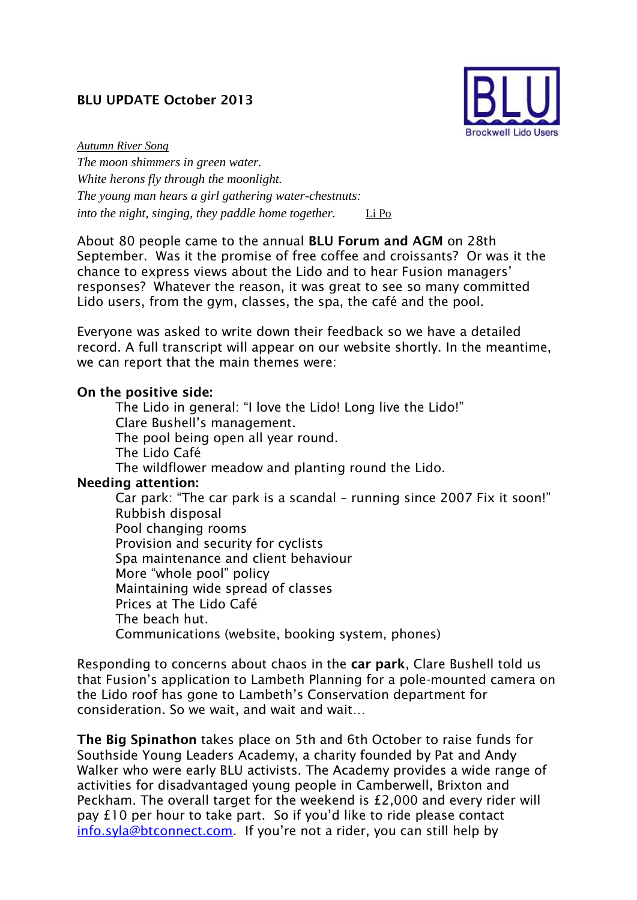## **BLU UPDATE October 2013**



*Autumn River Song The moon shimmers in green water. White herons fly through the moonlight. The young man hears a girl gathering water-chestnuts: into the night, singing, they paddle home together.* [Li Po](http://www.litera.co.uk/author/li_po/)

About 80 people came to the annual **BLU Forum and AGM** on 28th September. Was it the promise of free coffee and croissants? Or was it the chance to express views about the Lido and to hear Fusion managers' responses? Whatever the reason, it was great to see so many committed Lido users, from the gym, classes, the spa, the café and the pool.

Everyone was asked to write down their feedback so we have a detailed record. A full transcript will appear on our website shortly. In the meantime, we can report that the main themes were:

## **On the positive side:**

The Lido in general: "I love the Lido! Long live the Lido!" Clare Bushell's management. The pool being open all year round. The Lido Café The wildflower meadow and planting round the Lido. **Needing attention:**  Car park: "The car park is a scandal – running since 2007 Fix it soon!" Rubbish disposal Pool changing rooms Provision and security for cyclists Spa maintenance and client behaviour More "whole pool" policy Maintaining wide spread of classes Prices at The Lido Café The beach hut.

Communications (website, booking system, phones)

Responding to concerns about chaos in the **car park**, Clare Bushell told us that Fusion's application to Lambeth Planning for a pole-mounted camera on the Lido roof has gone to Lambeth's Conservation department for consideration. So we wait, and wait and wait…

**The Big Spinathon** takes place on 5th and 6th October to raise funds for Southside Young Leaders Academy, a charity founded by Pat and Andy Walker who were early BLU activists. The Academy provides a wide range of activities for disadvantaged young people in Camberwell, Brixton and Peckham. The overall target for the weekend is £2,000 and every rider will pay £10 per hour to take part. So if you'd like to ride please contact [info.syla@btconnect.com.](mailto:info.syla@btconnect.com) If you're not a rider, you can still help by